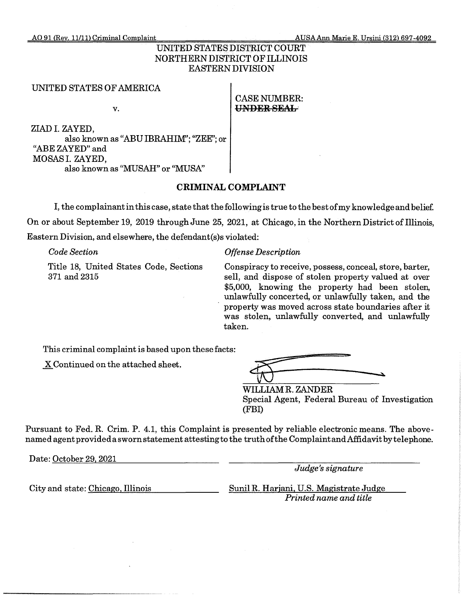AO 91 <Rev. 11/11} Criminal Complaint AUSAAnn Marie E. Ursini {312) 697-4092

# UNITED STATES DISTRICT COURT NORTHERN DISTRICT OF ILLINOIS EASTERN DIVISION

### UNITED STATES OF AMERICA

CASE NUMBER: v. **UNDER SEAL** 

ZIAD I. ZAYED, also known as "ABU IBRAHIM'; "ZEE"; or "ABE ZAYED" and MOSAS I. ZAYED, also known as "MUSAH" or "MUSA''

# **CRIMINAL COMPLAINT**

I, the complainant in this case, state that the following is true to the best of my knowledge and belief. On or about September 19, 2019 through June 25, 2021, at Chicago, in the Northern District of Illinois, Eastern Division, and elsewhere, the defendant(s)s violated:

*Code Section* 

Title 18, United States Code, Sections 371 and2315

### *Offense Description*

Conspiracy to receive, possess, conceal, store, barter, sell, and dispose of stolen property valued at over \$5,000, knowing the property had been stolen, unlawfully concerted, or unlawfully taken, and the property was moved across state boundaries after it was stolen, unlawfully converted, and unlawfully taken.

This criminal complaint is based upon these facts:

\_x Continued on the attached sheet.

| وسد<br>ـ | the self-control of the |
|----------|-------------------------|
|          |                         |

WILLIAMR. ZANDER Special Agent, Federal Bureau of Investigation (FBI)

Pursuant to Fed. R. Crim. P. 4.1, this Complaint is presented by reliable electronic means. The abovenamed agent provided a sworn statement attesting to the truth of the ComplaintandAffidavit by telephone.

Date: October 29, 2021

*Judge's signature* 

City and state: Chicago, Illinois

Sunil R. Harjani, U.S. Magistrate Judge *Printed name and title*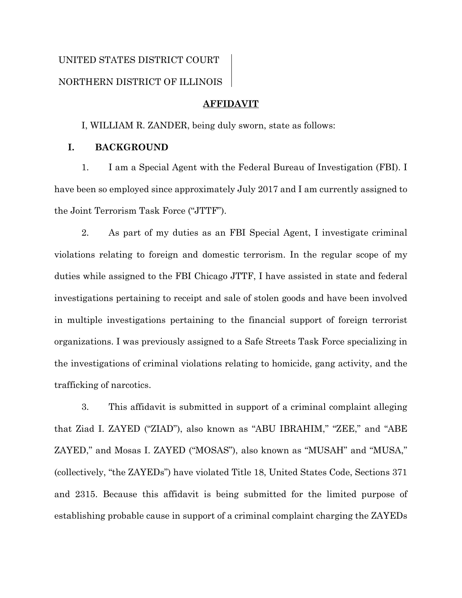# UNITED STATES DISTRICT COURT NORTHERN DISTRICT OF ILLINOIS

## **AFFIDAVIT**

I, WILLIAM R. ZANDER, being duly sworn, state as follows:

# **I. BACKGROUND**

1. I am a Special Agent with the Federal Bureau of Investigation (FBI). I have been so employed since approximately July 2017 and I am currently assigned to the Joint Terrorism Task Force ("JTTF").

2. As part of my duties as an FBI Special Agent, I investigate criminal violations relating to foreign and domestic terrorism. In the regular scope of my duties while assigned to the FBI Chicago JTTF, I have assisted in state and federal investigations pertaining to receipt and sale of stolen goods and have been involved in multiple investigations pertaining to the financial support of foreign terrorist organizations. I was previously assigned to a Safe Streets Task Force specializing in the investigations of criminal violations relating to homicide, gang activity, and the trafficking of narcotics.

3. This affidavit is submitted in support of a criminal complaint alleging that Ziad I. ZAYED ("ZIAD"), also known as "ABU IBRAHIM," "ZEE," and "ABE ZAYED," and Mosas I. ZAYED ("MOSAS"), also known as "MUSAH" and "MUSA," (collectively, "the ZAYEDs") have violated Title 18, United States Code, Sections 371 and 2315. Because this affidavit is being submitted for the limited purpose of establishing probable cause in support of a criminal complaint charging the ZAYEDs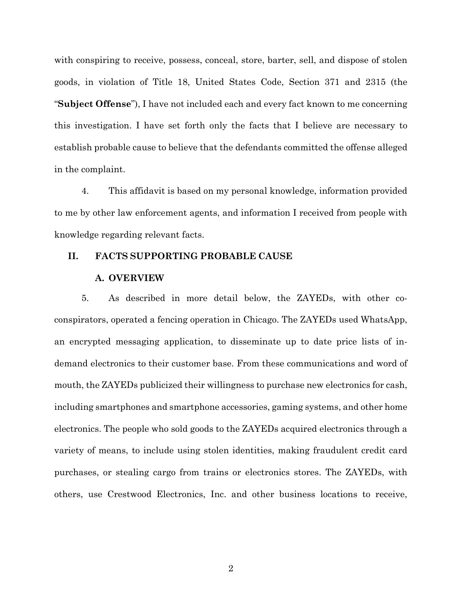with conspiring to receive, possess, conceal, store, barter, sell, and dispose of stolen goods, in violation of Title 18, United States Code, Section 371 and 2315 (the "**Subject Offense**"), I have not included each and every fact known to me concerning this investigation. I have set forth only the facts that I believe are necessary to establish probable cause to believe that the defendants committed the offense alleged in the complaint.

4. This affidavit is based on my personal knowledge, information provided to me by other law enforcement agents, and information I received from people with knowledge regarding relevant facts.

### **II. FACTS SUPPORTING PROBABLE CAUSE**

#### **A. OVERVIEW**

5. As described in more detail below, the ZAYEDs, with other coconspirators, operated a fencing operation in Chicago. The ZAYEDs used WhatsApp, an encrypted messaging application, to disseminate up to date price lists of indemand electronics to their customer base. From these communications and word of mouth, the ZAYEDs publicized their willingness to purchase new electronics for cash, including smartphones and smartphone accessories, gaming systems, and other home electronics. The people who sold goods to the ZAYEDs acquired electronics through a variety of means, to include using stolen identities, making fraudulent credit card purchases, or stealing cargo from trains or electronics stores. The ZAYEDs, with others, use Crestwood Electronics, Inc. and other business locations to receive,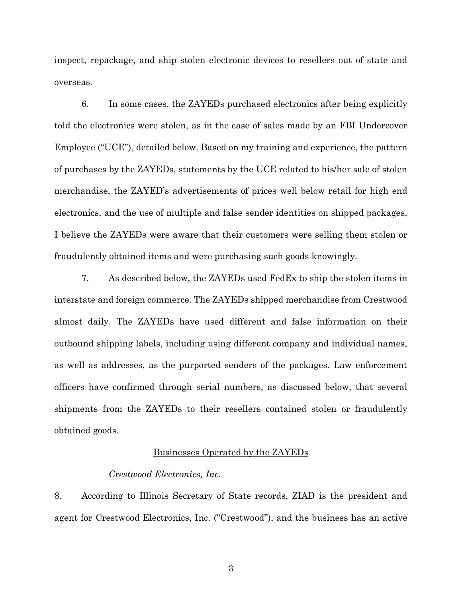inspect, repackage, and ship stolen electronic devices to resellers out of state and overseas.

6. In some cases, the ZAYEDs purchased electronics after being explicitly told the electronics were stolen, as in the case of sales made by an FBI Undercover Employee ("UCE"), detailed below. Based on my training and experience, the pattern of purchases by the ZAYEDs, statements by the UCE related to his/her sale of stolen merchandise, the ZAYED's advertisements of prices well below retail for high end electronics, and the use of multiple and false sender identities on shipped packages, I believe the ZAYEDs were aware that their customers were selling them stolen or fraudulently obtained items and were purchasing such goods knowingly.

7. As described below, the ZAYEDs used FedEx to ship the stolen items in interstate and foreign commerce. The ZAYEDs shipped merchandise from Crestwood almost daily. The ZAYEDs have used different and false information on their outbound shipping labels, including using different company and individual names, as well as addresses, as the purported senders of the packages. Law enforcement officers have confirmed through serial numbers, as discussed below, that several shipments from the ZAYEDs to their resellers contained stolen or fraudulently obtained goods.

### Businesses Operated by the ZAYEDs

### *Crestwood Electronics, Inc.*

8. According to Illinois Secretary of State records, ZIAD is the president and agent for Crestwood Electronics, Inc. ("Crestwood"), and the business has an active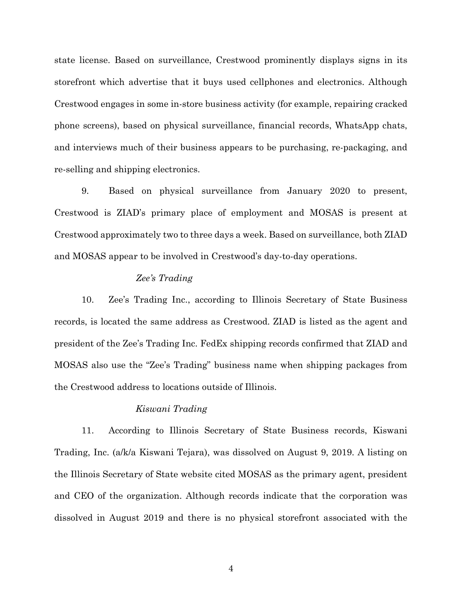state license. Based on surveillance, Crestwood prominently displays signs in its storefront which advertise that it buys used cellphones and electronics. Although Crestwood engages in some in-store business activity (for example, repairing cracked phone screens), based on physical surveillance, financial records, WhatsApp chats, and interviews much of their business appears to be purchasing, re-packaging, and re-selling and shipping electronics.

9. Based on physical surveillance from January 2020 to present, Crestwood is ZIAD's primary place of employment and MOSAS is present at Crestwood approximately two to three days a week. Based on surveillance, both ZIAD and MOSAS appear to be involved in Crestwood's day-to-day operations.

# *Zee's Trading*

10. Zee's Trading Inc., according to Illinois Secretary of State Business records, is located the same address as Crestwood. ZIAD is listed as the agent and president of the Zee's Trading Inc. FedEx shipping records confirmed that ZIAD and MOSAS also use the "Zee's Trading" business name when shipping packages from the Crestwood address to locations outside of Illinois.

### *Kiswani Trading*

11. According to Illinois Secretary of State Business records, Kiswani Trading, Inc. (a/k/a Kiswani Tejara), was dissolved on August 9, 2019. A listing on the Illinois Secretary of State website cited MOSAS as the primary agent, president and CEO of the organization. Although records indicate that the corporation was dissolved in August 2019 and there is no physical storefront associated with the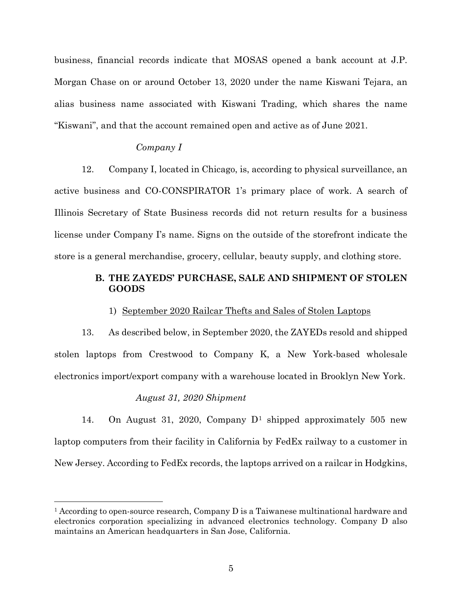business, financial records indicate that MOSAS opened a bank account at J.P. Morgan Chase on or around October 13, 2020 under the name Kiswani Tejara, an alias business name associated with Kiswani Trading, which shares the name "Kiswani", and that the account remained open and active as of June 2021.

### *Company I*

12. Company I, located in Chicago, is, according to physical surveillance, an active business and CO-CONSPIRATOR 1's primary place of work. A search of Illinois Secretary of State Business records did not return results for a business license under Company I's name. Signs on the outside of the storefront indicate the store is a general merchandise, grocery, cellular, beauty supply, and clothing store.

# **B. THE ZAYEDS' PURCHASE, SALE AND SHIPMENT OF STOLEN GOODS**

#### 1) September 2020 Railcar Thefts and Sales of Stolen Laptops

13. As described below, in September 2020, the ZAYEDs resold and shipped stolen laptops from Crestwood to Company K, a New York-based wholesale electronics import/export company with a warehouse located in Brooklyn New York.

### *August 31, 2020 Shipment*

14. On August 31, 2020, Company  $D^1$  shipped approximately 505 new laptop computers from their facility in California by FedEx railway to a customer in New Jersey. According to FedEx records, the laptops arrived on a railcar in Hodgkins,

<sup>&</sup>lt;sup>1</sup> According to open-source research, Company D is a Taiwanese multinational hardware and electronics corporation specializing in advanced electronics technology. Company D also maintains an American headquarters in San Jose, California.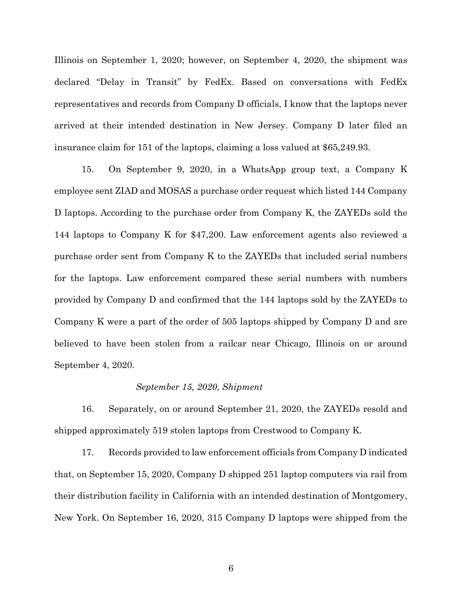Illinois on September 1, 2020; however, on September 4, 2020, the shipment was declared "Delay in Transit" by FedEx. Based on conversations with FedEx representatives and records from Company D officials, I know that the laptops never arrived at their intended destination in New Jersey. Company D later filed an insurance claim for 151 of the laptops, claiming a loss valued at \$65,249.93.

15. On September 9, 2020, in a WhatsApp group text, a Company K employee sent ZIAD and MOSAS a purchase order request which listed 144 Company D laptops. According to the purchase order from Company K, the ZAYEDs sold the 144 laptops to Company K for \$47,200. Law enforcement agents also reviewed a purchase order sent from Company K to the ZAYEDs that included serial numbers for the laptops. Law enforcement compared these serial numbers with numbers provided by Company D and confirmed that the 144 laptops sold by the ZAYEDs to Company K were a part of the order of 505 laptops shipped by Company D and are believed to have been stolen from a railcar near Chicago, Illinois on or around September 4, 2020.

### *September 15, 2020, Shipment*

16. Separately, on or around September 21, 2020, the ZAYEDs resold and shipped approximately 519 stolen laptops from Crestwood to Company K.

17. Records provided to law enforcement officials from Company D indicated that, on September 15, 2020, Company D shipped 251 laptop computers via rail from their distribution facility in California with an intended destination of Montgomery, New York. On September 16, 2020, 315 Company D laptops were shipped from the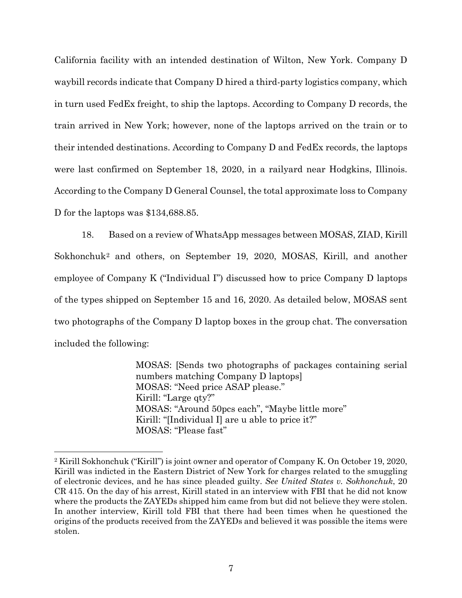California facility with an intended destination of Wilton, New York. Company D waybill records indicate that Company D hired a third-party logistics company, which in turn used FedEx freight, to ship the laptops. According to Company D records, the train arrived in New York; however, none of the laptops arrived on the train or to their intended destinations. According to Company D and FedEx records, the laptops were last confirmed on September 18, 2020, in a railyard near Hodgkins, Illinois. According to the Company D General Counsel, the total approximate loss to Company D for the laptops was \$134,688.85.

18. Based on a review of WhatsApp messages between MOSAS, ZIAD, Kirill Sokhonchuk2 and others, on September 19, 2020, MOSAS, Kirill, and another employee of Company K ("Individual I") discussed how to price Company D laptops of the types shipped on September 15 and 16, 2020. As detailed below, MOSAS sent two photographs of the Company D laptop boxes in the group chat. The conversation included the following:

> MOSAS: [Sends two photographs of packages containing serial numbers matching Company D laptops] MOSAS: "Need price ASAP please." Kirill: "Large qty?" MOSAS: "Around 50pcs each", "Maybe little more" Kirill: "[Individual I] are u able to price it?" MOSAS: "Please fast"

<sup>2</sup> Kirill Sokhonchuk ("Kirill") is joint owner and operator of Company K. On October 19, 2020, Kirill was indicted in the Eastern District of New York for charges related to the smuggling of electronic devices, and he has since pleaded guilty. *See United States v. Sokhonchuk*, 20 CR 415. On the day of his arrest, Kirill stated in an interview with FBI that he did not know where the products the ZAYEDs shipped him came from but did not believe they were stolen. In another interview, Kirill told FBI that there had been times when he questioned the origins of the products received from the ZAYEDs and believed it was possible the items were stolen.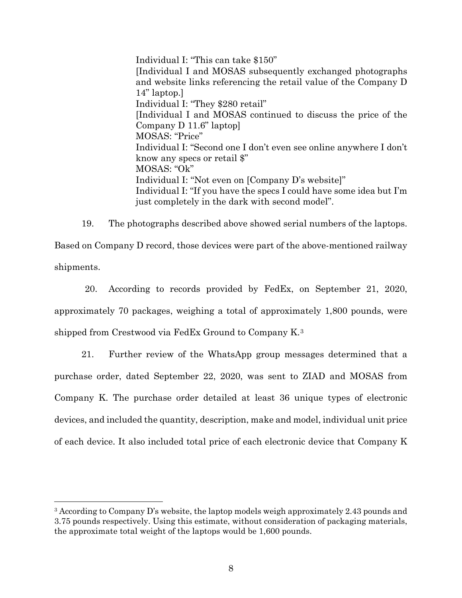Individual I: "This can take \$150" [Individual I and MOSAS subsequently exchanged photographs and website links referencing the retail value of the Company D 14" laptop.] Individual I: "They \$280 retail" [Individual I and MOSAS continued to discuss the price of the Company D 11.6" laptop] MOSAS: "Price" Individual I: "Second one I don't even see online anywhere I don't know any specs or retail \$" MOSAS: "Ok" Individual I: "Not even on [Company D's website]" Individual I: "If you have the specs I could have some idea but I'm just completely in the dark with second model".

19. The photographs described above showed serial numbers of the laptops. Based on Company D record, those devices were part of the above-mentioned railway shipments.

20. According to records provided by FedEx, on September 21, 2020, approximately 70 packages, weighing a total of approximately 1,800 pounds, were shipped from Crestwood via FedEx Ground to Company K.3

21. Further review of the WhatsApp group messages determined that a purchase order, dated September 22, 2020, was sent to ZIAD and MOSAS from Company K. The purchase order detailed at least 36 unique types of electronic devices, and included the quantity, description, make and model, individual unit price of each device. It also included total price of each electronic device that Company K

<sup>3</sup> According to Company D's website, the laptop models weigh approximately 2.43 pounds and 3.75 pounds respectively. Using this estimate, without consideration of packaging materials, the approximate total weight of the laptops would be 1,600 pounds.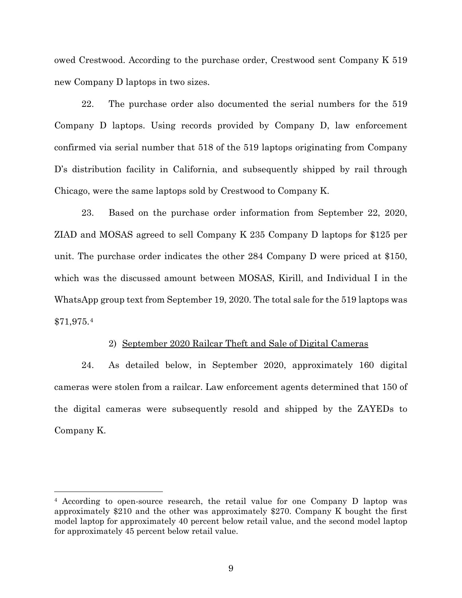owed Crestwood. According to the purchase order, Crestwood sent Company K 519 new Company D laptops in two sizes.

22. The purchase order also documented the serial numbers for the 519 Company D laptops. Using records provided by Company D, law enforcement confirmed via serial number that 518 of the 519 laptops originating from Company D's distribution facility in California, and subsequently shipped by rail through Chicago, were the same laptops sold by Crestwood to Company K.

23. Based on the purchase order information from September 22, 2020, ZIAD and MOSAS agreed to sell Company K 235 Company D laptops for \$125 per unit. The purchase order indicates the other 284 Company D were priced at \$150, which was the discussed amount between MOSAS, Kirill, and Individual I in the WhatsApp group text from September 19, 2020. The total sale for the 519 laptops was \$71,975.4

### 2) September 2020 Railcar Theft and Sale of Digital Cameras

24. As detailed below, in September 2020, approximately 160 digital cameras were stolen from a railcar. Law enforcement agents determined that 150 of the digital cameras were subsequently resold and shipped by the ZAYEDs to Company K.

<sup>4</sup> According to open-source research, the retail value for one Company D laptop was approximately \$210 and the other was approximately \$270. Company K bought the first model laptop for approximately 40 percent below retail value, and the second model laptop for approximately 45 percent below retail value.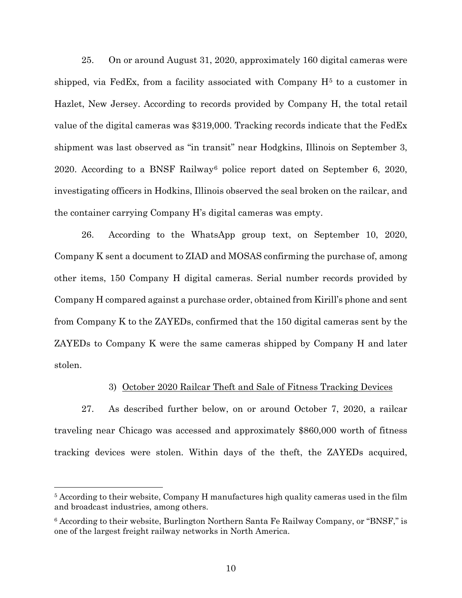25. On or around August 31, 2020, approximately 160 digital cameras were shipped, via FedEx, from a facility associated with Company  $H<sup>5</sup>$  to a customer in Hazlet, New Jersey. According to records provided by Company H, the total retail value of the digital cameras was \$319,000. Tracking records indicate that the FedEx shipment was last observed as "in transit" near Hodgkins, Illinois on September 3, 2020. According to a BNSF Railway6 police report dated on September 6, 2020, investigating officers in Hodkins, Illinois observed the seal broken on the railcar, and the container carrying Company H's digital cameras was empty.

26. According to the WhatsApp group text, on September 10, 2020, Company K sent a document to ZIAD and MOSAS confirming the purchase of, among other items, 150 Company H digital cameras. Serial number records provided by Company H compared against a purchase order, obtained from Kirill's phone and sent from Company K to the ZAYEDs, confirmed that the 150 digital cameras sent by the ZAYEDs to Company K were the same cameras shipped by Company H and later stolen.

### 3) October 2020 Railcar Theft and Sale of Fitness Tracking Devices

27. As described further below, on or around October 7, 2020, a railcar traveling near Chicago was accessed and approximately \$860,000 worth of fitness tracking devices were stolen. Within days of the theft, the ZAYEDs acquired,

<sup>5</sup> According to their website, Company H manufactures high quality cameras used in the film and broadcast industries, among others.

<sup>6</sup> According to their website, Burlington Northern Santa Fe Railway Company, or "BNSF," is one of the largest freight railway networks in North America.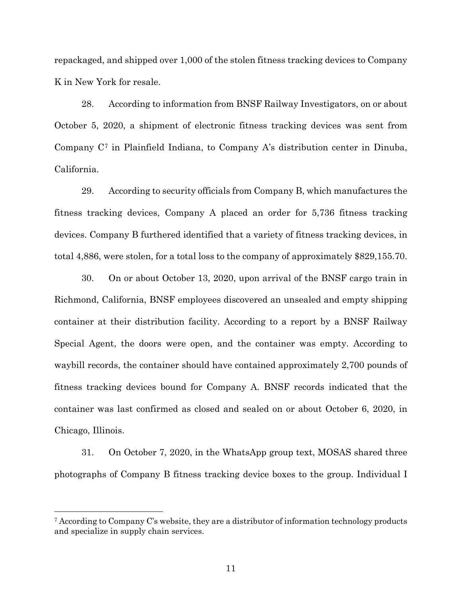repackaged, and shipped over 1,000 of the stolen fitness tracking devices to Company K in New York for resale.

28. According to information from BNSF Railway Investigators, on or about October 5, 2020, a shipment of electronic fitness tracking devices was sent from Company C7 in Plainfield Indiana, to Company A's distribution center in Dinuba, California.

29. According to security officials from Company B, which manufactures the fitness tracking devices, Company A placed an order for 5,736 fitness tracking devices. Company B furthered identified that a variety of fitness tracking devices, in total 4,886, were stolen, for a total loss to the company of approximately \$829,155.70.

30. On or about October 13, 2020, upon arrival of the BNSF cargo train in Richmond, California, BNSF employees discovered an unsealed and empty shipping container at their distribution facility. According to a report by a BNSF Railway Special Agent, the doors were open, and the container was empty. According to waybill records, the container should have contained approximately 2,700 pounds of fitness tracking devices bound for Company A. BNSF records indicated that the container was last confirmed as closed and sealed on or about October 6, 2020, in Chicago, Illinois.

31. On October 7, 2020, in the WhatsApp group text, MOSAS shared three photographs of Company B fitness tracking device boxes to the group. Individual I

<sup>7</sup> According to Company C's website, they are a distributor of information technology products and specialize in supply chain services.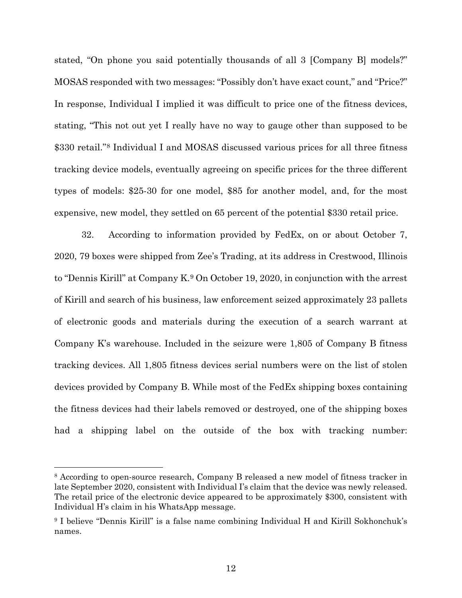stated, "On phone you said potentially thousands of all 3 [Company B] models?" MOSAS responded with two messages: "Possibly don't have exact count," and "Price?" In response, Individual I implied it was difficult to price one of the fitness devices, stating, "This not out yet I really have no way to gauge other than supposed to be \$330 retail."8 Individual I and MOSAS discussed various prices for all three fitness tracking device models, eventually agreeing on specific prices for the three different types of models: \$25-30 for one model, \$85 for another model, and, for the most expensive, new model, they settled on 65 percent of the potential \$330 retail price.

32. According to information provided by FedEx, on or about October 7, 2020, 79 boxes were shipped from Zee's Trading, at its address in Crestwood, Illinois to "Dennis Kirill" at Company K.9 On October 19, 2020, in conjunction with the arrest of Kirill and search of his business, law enforcement seized approximately 23 pallets of electronic goods and materials during the execution of a search warrant at Company K's warehouse. Included in the seizure were 1,805 of Company B fitness tracking devices. All 1,805 fitness devices serial numbers were on the list of stolen devices provided by Company B. While most of the FedEx shipping boxes containing the fitness devices had their labels removed or destroyed, one of the shipping boxes had a shipping label on the outside of the box with tracking number:

<sup>8</sup> According to open-source research, Company B released a new model of fitness tracker in late September 2020, consistent with Individual I's claim that the device was newly released. The retail price of the electronic device appeared to be approximately \$300, consistent with Individual H's claim in his WhatsApp message.

<sup>9</sup> I believe "Dennis Kirill" is a false name combining Individual H and Kirill Sokhonchuk's names.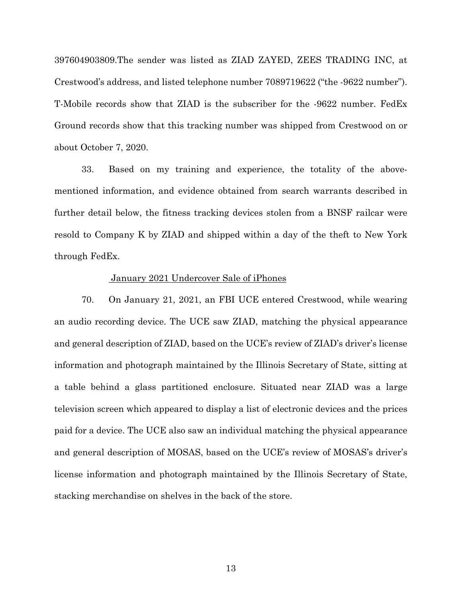397604903809.The sender was listed as ZIAD ZAYED, ZEES TRADING INC, at Crestwood's address, and listed telephone number 7089719622 ("the -9622 number"). T-Mobile records show that ZIAD is the subscriber for the -9622 number. FedEx Ground records show that this tracking number was shipped from Crestwood on or about October 7, 2020.

33. Based on my training and experience, the totality of the abovementioned information, and evidence obtained from search warrants described in further detail below, the fitness tracking devices stolen from a BNSF railcar were resold to Company K by ZIAD and shipped within a day of the theft to New York through FedEx.

### January 2021 Undercover Sale of iPhones

70. On January 21, 2021, an FBI UCE entered Crestwood, while wearing an audio recording device. The UCE saw ZIAD, matching the physical appearance and general description of ZIAD, based on the UCE's review of ZIAD's driver's license information and photograph maintained by the Illinois Secretary of State, sitting at a table behind a glass partitioned enclosure. Situated near ZIAD was a large television screen which appeared to display a list of electronic devices and the prices paid for a device. The UCE also saw an individual matching the physical appearance and general description of MOSAS, based on the UCE's review of MOSAS's driver's license information and photograph maintained by the Illinois Secretary of State, stacking merchandise on shelves in the back of the store.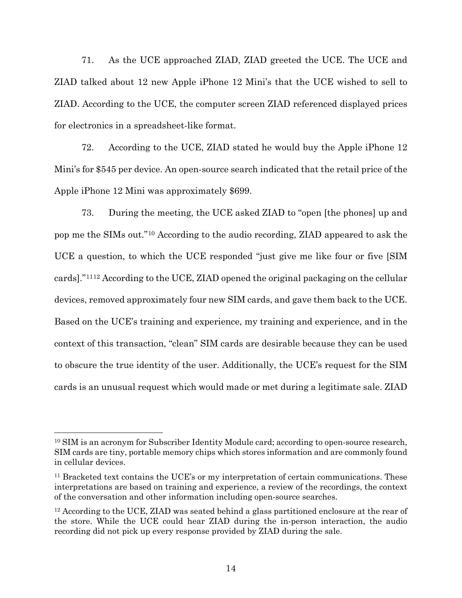71. As the UCE approached ZIAD, ZIAD greeted the UCE. The UCE and ZIAD talked about 12 new Apple iPhone 12 Mini's that the UCE wished to sell to ZIAD. According to the UCE, the computer screen ZIAD referenced displayed prices for electronics in a spreadsheet-like format.

72. According to the UCE, ZIAD stated he would buy the Apple iPhone 12 Mini's for \$545 per device. An open-source search indicated that the retail price of the Apple iPhone 12 Mini was approximately \$699.

73. During the meeting, the UCE asked ZIAD to "open [the phones] up and pop me the SIMs out."10 According to the audio recording, ZIAD appeared to ask the UCE a question, to which the UCE responded "just give me like four or five [SIM cards]."1112 According to the UCE, ZIAD opened the original packaging on the cellular devices, removed approximately four new SIM cards, and gave them back to the UCE. Based on the UCE's training and experience, my training and experience, and in the context of this transaction, "clean" SIM cards are desirable because they can be used to obscure the true identity of the user. Additionally, the UCE's request for the SIM cards is an unusual request which would made or met during a legitimate sale. ZIAD

<sup>&</sup>lt;sup>10</sup> SIM is an acronym for Subscriber Identity Module card; according to open-source research, SIM cards are tiny, portable memory chips which stores information and are commonly found in cellular devices.

<sup>&</sup>lt;sup>11</sup> Bracketed text contains the UCE's or my interpretation of certain communications. These interpretations are based on training and experience, a review of the recordings, the context of the conversation and other information including open-source searches.

<sup>&</sup>lt;sup>12</sup> According to the UCE, ZIAD was seated behind a glass partitioned enclosure at the rear of the store. While the UCE could hear ZIAD during the in-person interaction, the audio recording did not pick up every response provided by ZIAD during the sale.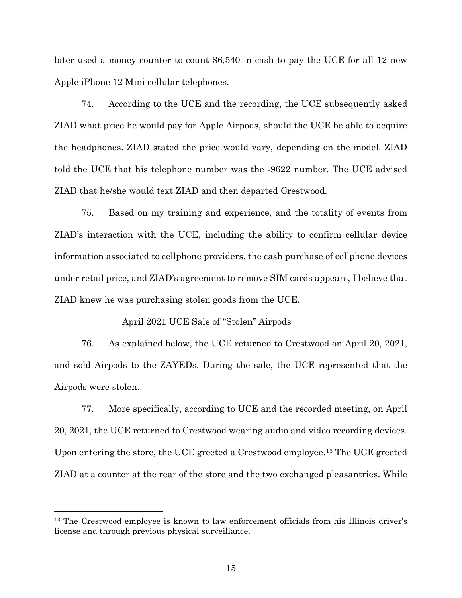later used a money counter to count \$6,540 in cash to pay the UCE for all 12 new Apple iPhone 12 Mini cellular telephones.

74. According to the UCE and the recording, the UCE subsequently asked ZIAD what price he would pay for Apple Airpods, should the UCE be able to acquire the headphones. ZIAD stated the price would vary, depending on the model. ZIAD told the UCE that his telephone number was the -9622 number. The UCE advised ZIAD that he/she would text ZIAD and then departed Crestwood.

75. Based on my training and experience, and the totality of events from ZIAD's interaction with the UCE, including the ability to confirm cellular device information associated to cellphone providers, the cash purchase of cellphone devices under retail price, and ZIAD's agreement to remove SIM cards appears, I believe that ZIAD knew he was purchasing stolen goods from the UCE.

### April 2021 UCE Sale of "Stolen" Airpods

76. As explained below, the UCE returned to Crestwood on April 20, 2021, and sold Airpods to the ZAYEDs. During the sale, the UCE represented that the Airpods were stolen.

77. More specifically, according to UCE and the recorded meeting, on April 20, 2021, the UCE returned to Crestwood wearing audio and video recording devices. Upon entering the store, the UCE greeted a Crestwood employee.13 The UCE greeted ZIAD at a counter at the rear of the store and the two exchanged pleasantries. While

<sup>&</sup>lt;sup>13</sup> The Crestwood employee is known to law enforcement officials from his Illinois driver's license and through previous physical surveillance.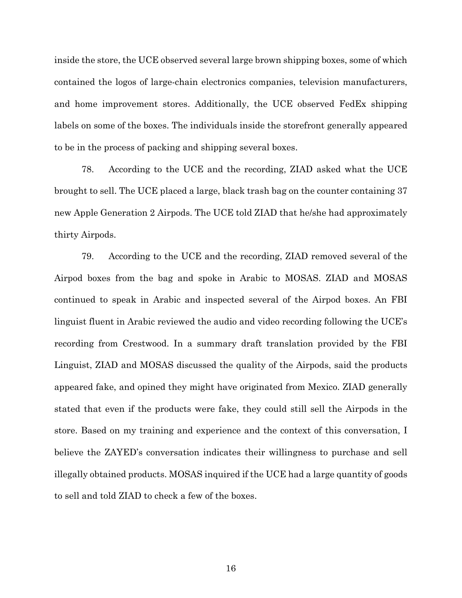inside the store, the UCE observed several large brown shipping boxes, some of which contained the logos of large-chain electronics companies, television manufacturers, and home improvement stores. Additionally, the UCE observed FedEx shipping labels on some of the boxes. The individuals inside the storefront generally appeared to be in the process of packing and shipping several boxes.

78. According to the UCE and the recording, ZIAD asked what the UCE brought to sell. The UCE placed a large, black trash bag on the counter containing 37 new Apple Generation 2 Airpods. The UCE told ZIAD that he/she had approximately thirty Airpods.

79. According to the UCE and the recording, ZIAD removed several of the Airpod boxes from the bag and spoke in Arabic to MOSAS. ZIAD and MOSAS continued to speak in Arabic and inspected several of the Airpod boxes. An FBI linguist fluent in Arabic reviewed the audio and video recording following the UCE's recording from Crestwood. In a summary draft translation provided by the FBI Linguist, ZIAD and MOSAS discussed the quality of the Airpods, said the products appeared fake, and opined they might have originated from Mexico. ZIAD generally stated that even if the products were fake, they could still sell the Airpods in the store. Based on my training and experience and the context of this conversation, I believe the ZAYED's conversation indicates their willingness to purchase and sell illegally obtained products. MOSAS inquired if the UCE had a large quantity of goods to sell and told ZIAD to check a few of the boxes.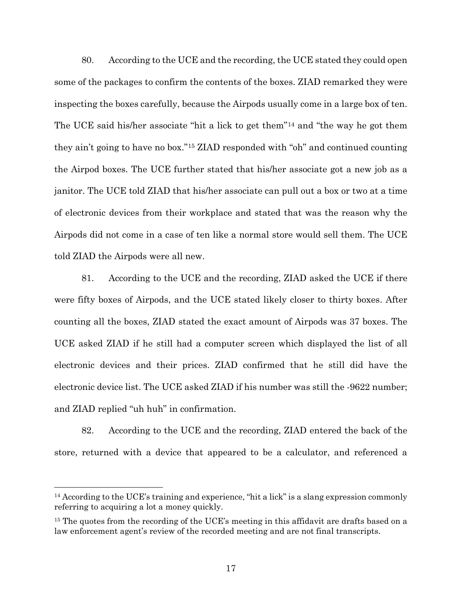80. According to the UCE and the recording, the UCE stated they could open some of the packages to confirm the contents of the boxes. ZIAD remarked they were inspecting the boxes carefully, because the Airpods usually come in a large box of ten. The UCE said his/her associate "hit a lick to get them"14 and "the way he got them they ain't going to have no box."15 ZIAD responded with "oh" and continued counting the Airpod boxes. The UCE further stated that his/her associate got a new job as a janitor. The UCE told ZIAD that his/her associate can pull out a box or two at a time of electronic devices from their workplace and stated that was the reason why the Airpods did not come in a case of ten like a normal store would sell them. The UCE told ZIAD the Airpods were all new.

81. According to the UCE and the recording, ZIAD asked the UCE if there were fifty boxes of Airpods, and the UCE stated likely closer to thirty boxes. After counting all the boxes, ZIAD stated the exact amount of Airpods was 37 boxes. The UCE asked ZIAD if he still had a computer screen which displayed the list of all electronic devices and their prices. ZIAD confirmed that he still did have the electronic device list. The UCE asked ZIAD if his number was still the -9622 number; and ZIAD replied "uh huh" in confirmation.

82. According to the UCE and the recording, ZIAD entered the back of the store, returned with a device that appeared to be a calculator, and referenced a

 $14$  According to the UCE's training and experience, "hit a lick" is a slang expression commonly referring to acquiring a lot a money quickly.

<sup>&</sup>lt;sup>15</sup> The quotes from the recording of the UCE's meeting in this affidavit are drafts based on a law enforcement agent's review of the recorded meeting and are not final transcripts.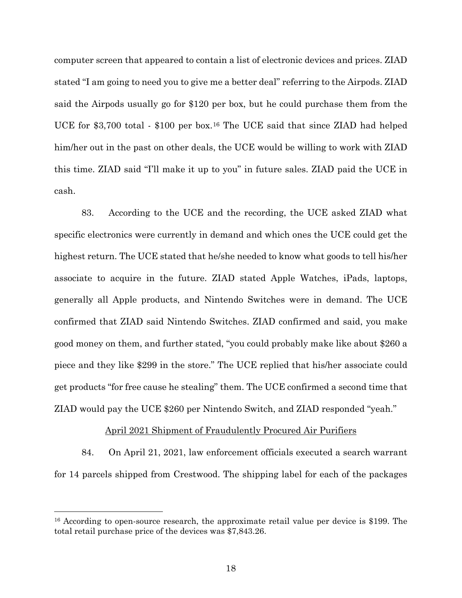computer screen that appeared to contain a list of electronic devices and prices. ZIAD stated "I am going to need you to give me a better deal" referring to the Airpods. ZIAD said the Airpods usually go for \$120 per box, but he could purchase them from the UCE for \$3,700 total - \$100 per box.16 The UCE said that since ZIAD had helped him/her out in the past on other deals, the UCE would be willing to work with ZIAD this time. ZIAD said "I'll make it up to you" in future sales. ZIAD paid the UCE in cash.

83. According to the UCE and the recording, the UCE asked ZIAD what specific electronics were currently in demand and which ones the UCE could get the highest return. The UCE stated that he/she needed to know what goods to tell his/her associate to acquire in the future. ZIAD stated Apple Watches, iPads, laptops, generally all Apple products, and Nintendo Switches were in demand. The UCE confirmed that ZIAD said Nintendo Switches. ZIAD confirmed and said, you make good money on them, and further stated, "you could probably make like about \$260 a piece and they like \$299 in the store." The UCE replied that his/her associate could get products "for free cause he stealing" them. The UCE confirmed a second time that ZIAD would pay the UCE \$260 per Nintendo Switch, and ZIAD responded "yeah."

### April 2021 Shipment of Fraudulently Procured Air Purifiers

84. On April 21, 2021, law enforcement officials executed a search warrant for 14 parcels shipped from Crestwood. The shipping label for each of the packages

<sup>&</sup>lt;sup>16</sup> According to open-source research, the approximate retail value per device is \$199. The total retail purchase price of the devices was \$7,843.26.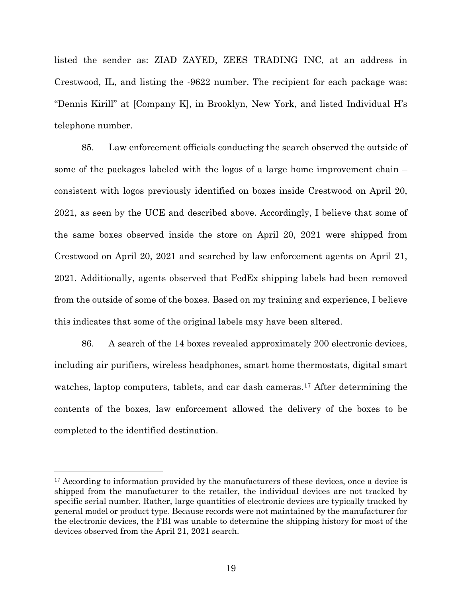listed the sender as: ZIAD ZAYED, ZEES TRADING INC, at an address in Crestwood, IL, and listing the -9622 number. The recipient for each package was: "Dennis Kirill" at [Company K], in Brooklyn, New York, and listed Individual H's telephone number.

85. Law enforcement officials conducting the search observed the outside of some of the packages labeled with the logos of a large home improvement chain – consistent with logos previously identified on boxes inside Crestwood on April 20, 2021, as seen by the UCE and described above. Accordingly, I believe that some of the same boxes observed inside the store on April 20, 2021 were shipped from Crestwood on April 20, 2021 and searched by law enforcement agents on April 21, 2021. Additionally, agents observed that FedEx shipping labels had been removed from the outside of some of the boxes. Based on my training and experience, I believe this indicates that some of the original labels may have been altered.

86. A search of the 14 boxes revealed approximately 200 electronic devices, including air purifiers, wireless headphones, smart home thermostats, digital smart watches, laptop computers, tablets, and car dash cameras.<sup>17</sup> After determining the contents of the boxes, law enforcement allowed the delivery of the boxes to be completed to the identified destination.

<sup>&</sup>lt;sup>17</sup> According to information provided by the manufacturers of these devices, once a device is shipped from the manufacturer to the retailer, the individual devices are not tracked by specific serial number. Rather, large quantities of electronic devices are typically tracked by general model or product type. Because records were not maintained by the manufacturer for the electronic devices, the FBI was unable to determine the shipping history for most of the devices observed from the April 21, 2021 search.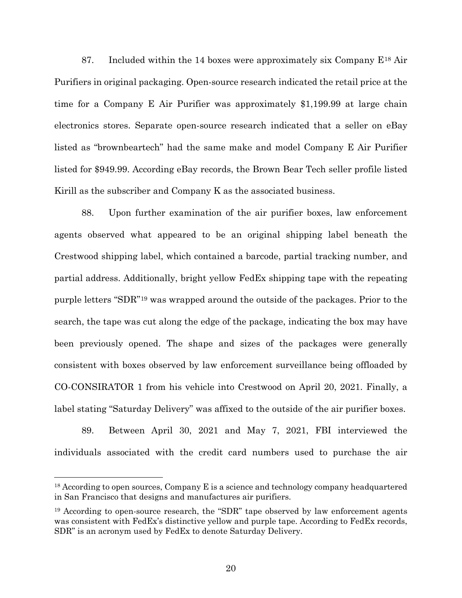87. Included within the 14 boxes were approximately six Company  $E^{18}$  Air Purifiers in original packaging. Open-source research indicated the retail price at the time for a Company E Air Purifier was approximately \$1,199.99 at large chain electronics stores. Separate open-source research indicated that a seller on eBay listed as "brownbeartech" had the same make and model Company E Air Purifier listed for \$949.99. According eBay records, the Brown Bear Tech seller profile listed Kirill as the subscriber and Company K as the associated business.

88. Upon further examination of the air purifier boxes, law enforcement agents observed what appeared to be an original shipping label beneath the Crestwood shipping label, which contained a barcode, partial tracking number, and partial address. Additionally, bright yellow FedEx shipping tape with the repeating purple letters "SDR"19 was wrapped around the outside of the packages. Prior to the search, the tape was cut along the edge of the package, indicating the box may have been previously opened. The shape and sizes of the packages were generally consistent with boxes observed by law enforcement surveillance being offloaded by CO-CONSIRATOR 1 from his vehicle into Crestwood on April 20, 2021. Finally, a label stating "Saturday Delivery" was affixed to the outside of the air purifier boxes.

89. Between April 30, 2021 and May 7, 2021, FBI interviewed the individuals associated with the credit card numbers used to purchase the air

<sup>&</sup>lt;sup>18</sup> According to open sources, Company E is a science and technology company headquartered in San Francisco that designs and manufactures air purifiers.

<sup>&</sup>lt;sup>19</sup> According to open-source research, the "SDR" tape observed by law enforcement agents was consistent with FedEx's distinctive yellow and purple tape. According to FedEx records, SDR" is an acronym used by FedEx to denote Saturday Delivery.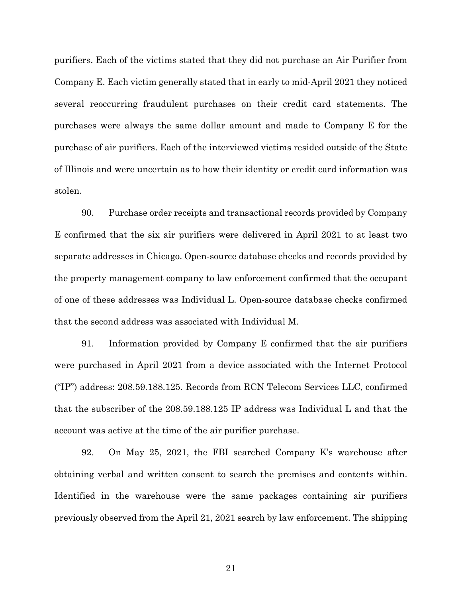purifiers. Each of the victims stated that they did not purchase an Air Purifier from Company E. Each victim generally stated that in early to mid-April 2021 they noticed several reoccurring fraudulent purchases on their credit card statements. The purchases were always the same dollar amount and made to Company E for the purchase of air purifiers. Each of the interviewed victims resided outside of the State of Illinois and were uncertain as to how their identity or credit card information was stolen.

90. Purchase order receipts and transactional records provided by Company E confirmed that the six air purifiers were delivered in April 2021 to at least two separate addresses in Chicago. Open-source database checks and records provided by the property management company to law enforcement confirmed that the occupant of one of these addresses was Individual L. Open-source database checks confirmed that the second address was associated with Individual M.

91. Information provided by Company E confirmed that the air purifiers were purchased in April 2021 from a device associated with the Internet Protocol ("IP") address: 208.59.188.125. Records from RCN Telecom Services LLC, confirmed that the subscriber of the 208.59.188.125 IP address was Individual L and that the account was active at the time of the air purifier purchase.

92. On May 25, 2021, the FBI searched Company K's warehouse after obtaining verbal and written consent to search the premises and contents within. Identified in the warehouse were the same packages containing air purifiers previously observed from the April 21, 2021 search by law enforcement. The shipping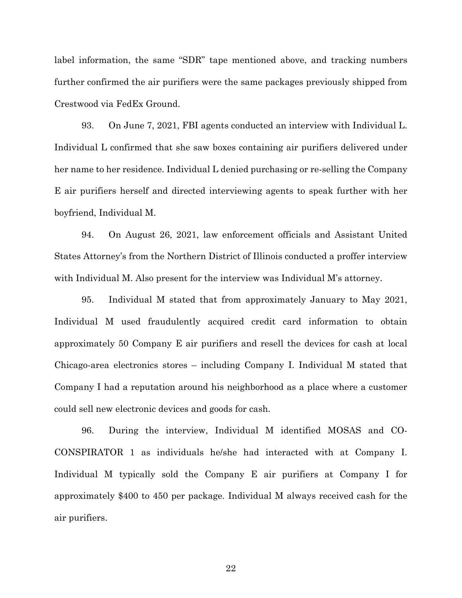label information, the same "SDR" tape mentioned above, and tracking numbers further confirmed the air purifiers were the same packages previously shipped from Crestwood via FedEx Ground.

93. On June 7, 2021, FBI agents conducted an interview with Individual L. Individual L confirmed that she saw boxes containing air purifiers delivered under her name to her residence. Individual L denied purchasing or re-selling the Company E air purifiers herself and directed interviewing agents to speak further with her boyfriend, Individual M.

94. On August 26, 2021, law enforcement officials and Assistant United States Attorney's from the Northern District of Illinois conducted a proffer interview with Individual M. Also present for the interview was Individual M's attorney.

95. Individual M stated that from approximately January to May 2021, Individual M used fraudulently acquired credit card information to obtain approximately 50 Company E air purifiers and resell the devices for cash at local Chicago-area electronics stores – including Company I. Individual M stated that Company I had a reputation around his neighborhood as a place where a customer could sell new electronic devices and goods for cash.

96. During the interview, Individual M identified MOSAS and CO-CONSPIRATOR 1 as individuals he/she had interacted with at Company I. Individual M typically sold the Company E air purifiers at Company I for approximately \$400 to 450 per package. Individual M always received cash for the air purifiers.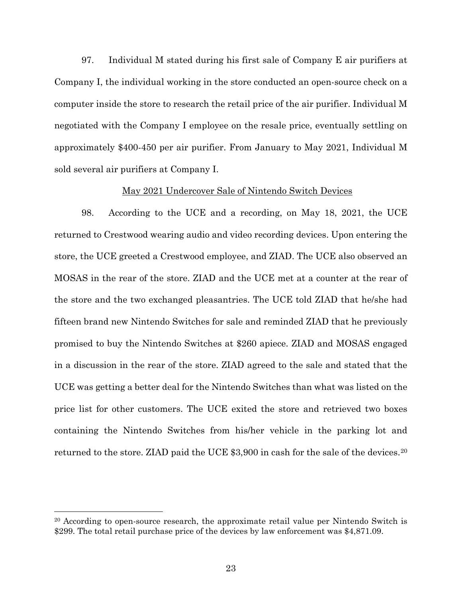97. Individual M stated during his first sale of Company E air purifiers at Company I, the individual working in the store conducted an open-source check on a computer inside the store to research the retail price of the air purifier. Individual M negotiated with the Company I employee on the resale price, eventually settling on approximately \$400-450 per air purifier. From January to May 2021, Individual M sold several air purifiers at Company I.

### May 2021 Undercover Sale of Nintendo Switch Devices

98. According to the UCE and a recording, on May 18, 2021, the UCE returned to Crestwood wearing audio and video recording devices. Upon entering the store, the UCE greeted a Crestwood employee, and ZIAD. The UCE also observed an MOSAS in the rear of the store. ZIAD and the UCE met at a counter at the rear of the store and the two exchanged pleasantries. The UCE told ZIAD that he/she had fifteen brand new Nintendo Switches for sale and reminded ZIAD that he previously promised to buy the Nintendo Switches at \$260 apiece. ZIAD and MOSAS engaged in a discussion in the rear of the store. ZIAD agreed to the sale and stated that the UCE was getting a better deal for the Nintendo Switches than what was listed on the price list for other customers. The UCE exited the store and retrieved two boxes containing the Nintendo Switches from his/her vehicle in the parking lot and returned to the store. ZIAD paid the UCE \$3,900 in cash for the sale of the devices.20

<sup>&</sup>lt;sup>20</sup> According to open-source research, the approximate retail value per Nintendo Switch is \$299. The total retail purchase price of the devices by law enforcement was \$4,871.09.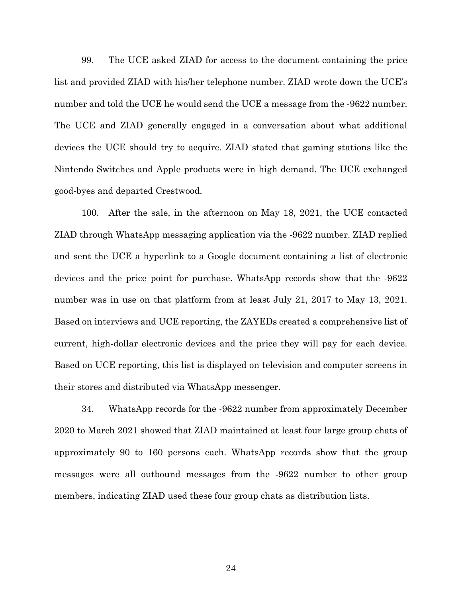99. The UCE asked ZIAD for access to the document containing the price list and provided ZIAD with his/her telephone number. ZIAD wrote down the UCE's number and told the UCE he would send the UCE a message from the -9622 number. The UCE and ZIAD generally engaged in a conversation about what additional devices the UCE should try to acquire. ZIAD stated that gaming stations like the Nintendo Switches and Apple products were in high demand. The UCE exchanged good-byes and departed Crestwood.

100. After the sale, in the afternoon on May 18, 2021, the UCE contacted ZIAD through WhatsApp messaging application via the -9622 number. ZIAD replied and sent the UCE a hyperlink to a Google document containing a list of electronic devices and the price point for purchase. WhatsApp records show that the -9622 number was in use on that platform from at least July 21, 2017 to May 13, 2021. Based on interviews and UCE reporting, the ZAYEDs created a comprehensive list of current, high-dollar electronic devices and the price they will pay for each device. Based on UCE reporting, this list is displayed on television and computer screens in their stores and distributed via WhatsApp messenger.

34. WhatsApp records for the -9622 number from approximately December 2020 to March 2021 showed that ZIAD maintained at least four large group chats of approximately 90 to 160 persons each. WhatsApp records show that the group messages were all outbound messages from the -9622 number to other group members, indicating ZIAD used these four group chats as distribution lists.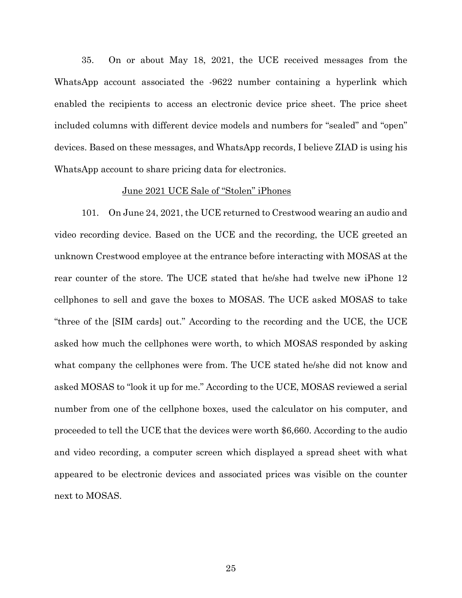35. On or about May 18, 2021, the UCE received messages from the WhatsApp account associated the -9622 number containing a hyperlink which enabled the recipients to access an electronic device price sheet. The price sheet included columns with different device models and numbers for "sealed" and "open" devices. Based on these messages, and WhatsApp records, I believe ZIAD is using his WhatsApp account to share pricing data for electronics.

### June 2021 UCE Sale of "Stolen" iPhones

101. On June 24, 2021, the UCE returned to Crestwood wearing an audio and video recording device. Based on the UCE and the recording, the UCE greeted an unknown Crestwood employee at the entrance before interacting with MOSAS at the rear counter of the store. The UCE stated that he/she had twelve new iPhone 12 cellphones to sell and gave the boxes to MOSAS. The UCE asked MOSAS to take "three of the [SIM cards] out." According to the recording and the UCE, the UCE asked how much the cellphones were worth, to which MOSAS responded by asking what company the cellphones were from. The UCE stated he/she did not know and asked MOSAS to "look it up for me." According to the UCE, MOSAS reviewed a serial number from one of the cellphone boxes, used the calculator on his computer, and proceeded to tell the UCE that the devices were worth \$6,660. According to the audio and video recording, a computer screen which displayed a spread sheet with what appeared to be electronic devices and associated prices was visible on the counter next to MOSAS.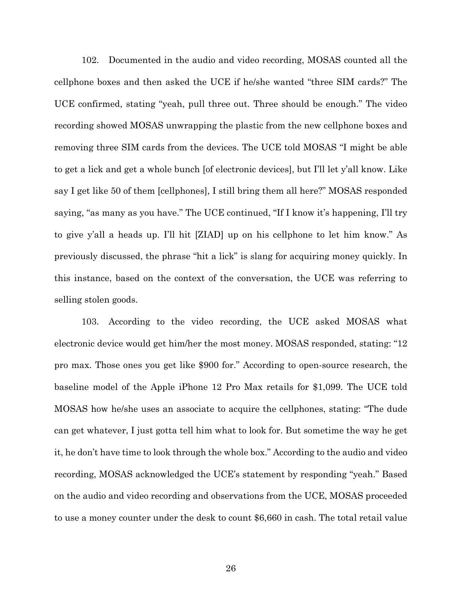102. Documented in the audio and video recording, MOSAS counted all the cellphone boxes and then asked the UCE if he/she wanted "three SIM cards?" The UCE confirmed, stating "yeah, pull three out. Three should be enough." The video recording showed MOSAS unwrapping the plastic from the new cellphone boxes and removing three SIM cards from the devices. The UCE told MOSAS "I might be able to get a lick and get a whole bunch [of electronic devices], but I'll let y'all know. Like say I get like 50 of them [cellphones], I still bring them all here?" MOSAS responded saying, "as many as you have." The UCE continued, "If I know it's happening, I'll try to give y'all a heads up. I'll hit [ZIAD] up on his cellphone to let him know." As previously discussed, the phrase "hit a lick" is slang for acquiring money quickly. In this instance, based on the context of the conversation, the UCE was referring to selling stolen goods.

103. According to the video recording, the UCE asked MOSAS what electronic device would get him/her the most money. MOSAS responded, stating: "12 pro max. Those ones you get like \$900 for." According to open-source research, the baseline model of the Apple iPhone 12 Pro Max retails for \$1,099. The UCE told MOSAS how he/she uses an associate to acquire the cellphones, stating: "The dude can get whatever, I just gotta tell him what to look for. But sometime the way he get it, he don't have time to look through the whole box." According to the audio and video recording, MOSAS acknowledged the UCE's statement by responding "yeah." Based on the audio and video recording and observations from the UCE, MOSAS proceeded to use a money counter under the desk to count \$6,660 in cash. The total retail value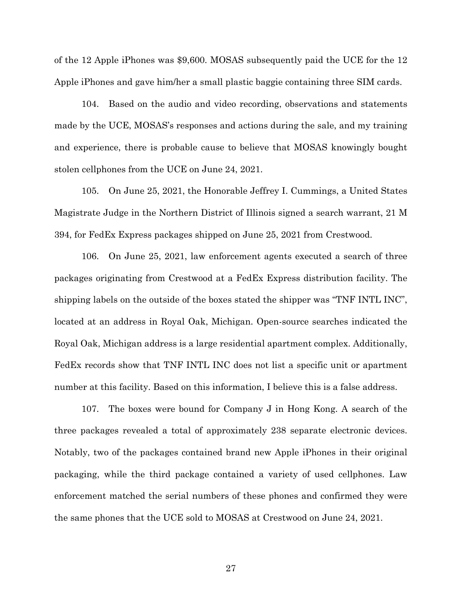of the 12 Apple iPhones was \$9,600. MOSAS subsequently paid the UCE for the 12 Apple iPhones and gave him/her a small plastic baggie containing three SIM cards.

104. Based on the audio and video recording, observations and statements made by the UCE, MOSAS's responses and actions during the sale, and my training and experience, there is probable cause to believe that MOSAS knowingly bought stolen cellphones from the UCE on June 24, 2021.

105. On June 25, 2021, the Honorable Jeffrey I. Cummings, a United States Magistrate Judge in the Northern District of Illinois signed a search warrant, 21 M 394, for FedEx Express packages shipped on June 25, 2021 from Crestwood.

106. On June 25, 2021, law enforcement agents executed a search of three packages originating from Crestwood at a FedEx Express distribution facility. The shipping labels on the outside of the boxes stated the shipper was "TNF INTL INC", located at an address in Royal Oak, Michigan. Open-source searches indicated the Royal Oak, Michigan address is a large residential apartment complex. Additionally, FedEx records show that TNF INTL INC does not list a specific unit or apartment number at this facility. Based on this information, I believe this is a false address.

107. The boxes were bound for Company J in Hong Kong. A search of the three packages revealed a total of approximately 238 separate electronic devices. Notably, two of the packages contained brand new Apple iPhones in their original packaging, while the third package contained a variety of used cellphones. Law enforcement matched the serial numbers of these phones and confirmed they were the same phones that the UCE sold to MOSAS at Crestwood on June 24, 2021.